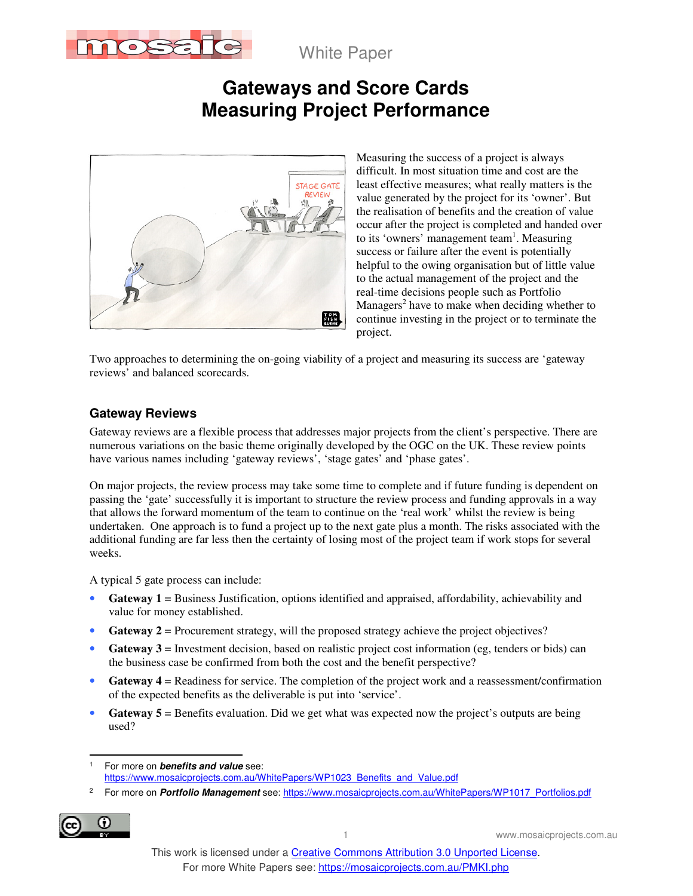

White Paper

# **Gateways and Score Cards Measuring Project Performance**



Measuring the success of a project is always difficult. In most situation time and cost are the least effective measures; what really matters is the value generated by the project for its 'owner'. But the realisation of benefits and the creation of value occur after the project is completed and handed over to its 'owners' management team<sup>1</sup>. Measuring success or failure after the event is potentially helpful to the owing organisation but of little value to the actual management of the project and the real-time decisions people such as Portfolio Managers<sup>2</sup> have to make when deciding whether to continue investing in the project or to terminate the project.

Two approaches to determining the on-going viability of a project and measuring its success are 'gateway reviews' and balanced scorecards.

### **Gateway Reviews**

Gateway reviews are a flexible process that addresses major projects from the client's perspective. There are numerous variations on the basic theme originally developed by the OGC on the UK. These review points have various names including 'gateway reviews', 'stage gates' and 'phase gates'.

On major projects, the review process may take some time to complete and if future funding is dependent on passing the 'gate' successfully it is important to structure the review process and funding approvals in a way that allows the forward momentum of the team to continue on the 'real work' whilst the review is being undertaken. One approach is to fund a project up to the next gate plus a month. The risks associated with the additional funding are far less then the certainty of losing most of the project team if work stops for several weeks.

A typical 5 gate process can include:

- **Gateway 1** = Business Justification, options identified and appraised, affordability, achievability and value for money established.
- **Gateway 2** = Procurement strategy, will the proposed strategy achieve the project objectives?
- Gateway 3 = Investment decision, based on realistic project cost information (eg, tenders or bids) can the business case be confirmed from both the cost and the benefit perspective?
- **Gateway 4** = Readiness for service. The completion of the project work and a reassessment/confirmation of the expected benefits as the deliverable is put into 'service'.
- **Gateway 5** = Benefits evaluation. Did we get what was expected now the project's outputs are being used?

<sup>2</sup> For more on *Portfolio Management* see: https://www.mosaicprojects.com.au/WhitePapers/WP1017\_Portfolios.pdf



 $\overline{a}$ 

<sup>1</sup> For more on **benefits and value** see: https://www.mosaicprojects.com.au/WhitePapers/WP1023\_Benefits\_and\_Value.pdf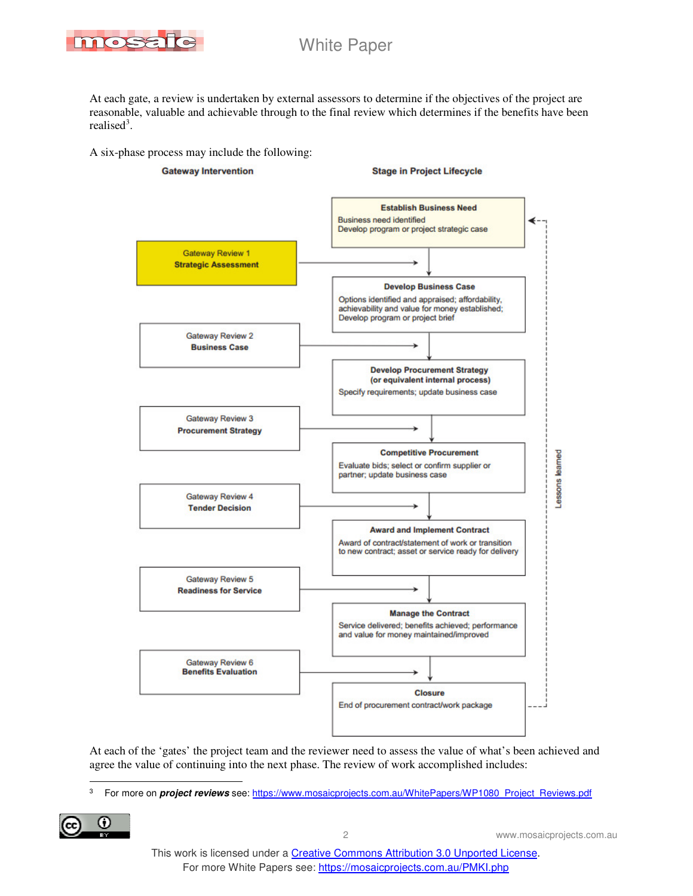

At each gate, a review is undertaken by external assessors to determine if the objectives of the project are reasonable, valuable and achievable through to the final review which determines if the benefits have been realised<sup>3</sup>.

A six-phase process may include the following:



At each of the 'gates' the project team and the reviewer need to assess the value of what's been achieved and agree the value of continuing into the next phase. The review of work accomplished includes:

 $\overline{a}$ 3 For more on **project reviews** see: https://www.mosaicprojects.com.au/WhitePapers/WP1080\_Project\_Reviews.pdf

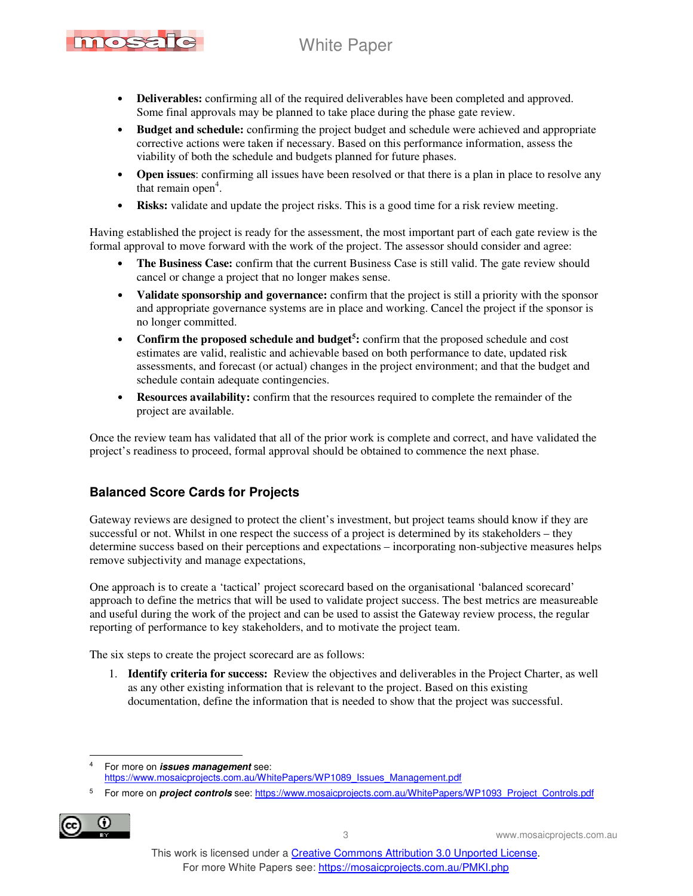## White Paper



- **Deliverables:** confirming all of the required deliverables have been completed and approved. Some final approvals may be planned to take place during the phase gate review.
- **Budget and schedule:** confirming the project budget and schedule were achieved and appropriate corrective actions were taken if necessary. Based on this performance information, assess the viability of both the schedule and budgets planned for future phases.
- **Open issues**: confirming all issues have been resolved or that there is a plan in place to resolve any that remain open<sup>4</sup>.
- **Risks:** validate and update the project risks. This is a good time for a risk review meeting.

Having established the project is ready for the assessment, the most important part of each gate review is the formal approval to move forward with the work of the project. The assessor should consider and agree:

- **The Business Case:** confirm that the current Business Case is still valid. The gate review should cancel or change a project that no longer makes sense.
- **Validate sponsorship and governance:** confirm that the project is still a priority with the sponsor and appropriate governance systems are in place and working. Cancel the project if the sponsor is no longer committed.
- **Confirm the proposed schedule and budget<sup>5</sup> :** confirm that the proposed schedule and cost estimates are valid, realistic and achievable based on both performance to date, updated risk assessments, and forecast (or actual) changes in the project environment; and that the budget and schedule contain adequate contingencies.
- **Resources availability:** confirm that the resources required to complete the remainder of the project are available.

Once the review team has validated that all of the prior work is complete and correct, and have validated the project's readiness to proceed, formal approval should be obtained to commence the next phase.

### **Balanced Score Cards for Projects**

Gateway reviews are designed to protect the client's investment, but project teams should know if they are successful or not. Whilst in one respect the success of a project is determined by its stakeholders – they determine success based on their perceptions and expectations – incorporating non-subjective measures helps remove subjectivity and manage expectations,

One approach is to create a 'tactical' project scorecard based on the organisational 'balanced scorecard' approach to define the metrics that will be used to validate project success. The best metrics are measureable and useful during the work of the project and can be used to assist the Gateway review process, the regular reporting of performance to key stakeholders, and to motivate the project team.

The six steps to create the project scorecard are as follows:

1. **Identify criteria for success:** Review the objectives and deliverables in the Project Charter, as well as any other existing information that is relevant to the project. Based on this existing documentation, define the information that is needed to show that the project was successful.

<sup>5</sup> For more on *project controls* see: https://www.mosaicprojects.com.au/WhitePapers/WP1093\_Project\_Controls.pdf



 $\overline{a}$ 

<sup>4</sup> For more on **issues management** see: https://www.mosaicprojects.com.au/WhitePapers/WP1089\_Issues\_Management.pdf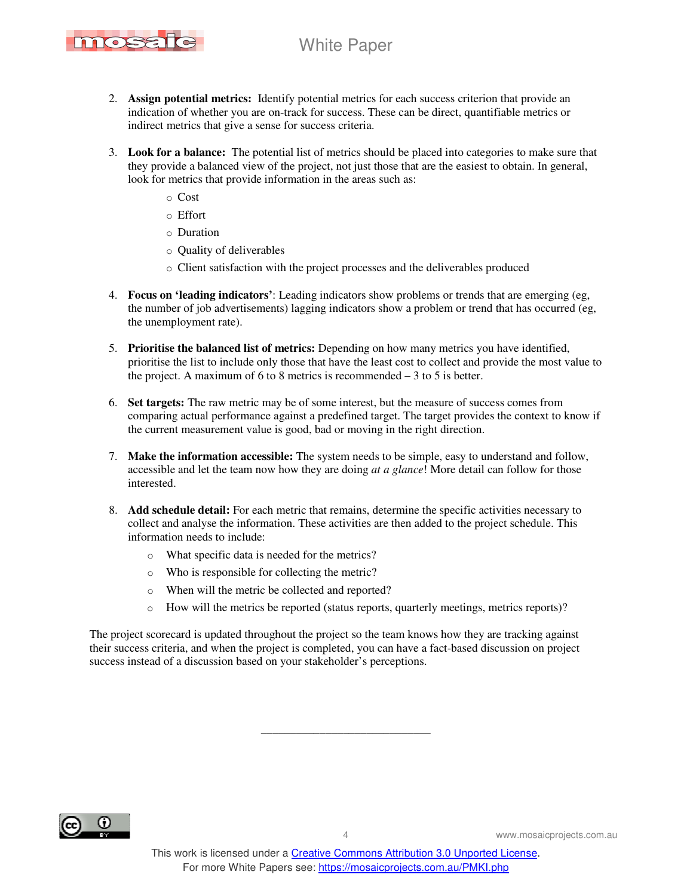

- 2. **Assign potential metrics:** Identify potential metrics for each success criterion that provide an indication of whether you are on-track for success. These can be direct, quantifiable metrics or indirect metrics that give a sense for success criteria.
- 3. **Look for a balance:** The potential list of metrics should be placed into categories to make sure that they provide a balanced view of the project, not just those that are the easiest to obtain. In general, look for metrics that provide information in the areas such as:
	- o Cost
	- o Effort
	- o Duration
	- o Quality of deliverables
	- o Client satisfaction with the project processes and the deliverables produced
- 4. **Focus on 'leading indicators'**: Leading indicators show problems or trends that are emerging (eg, the number of job advertisements) lagging indicators show a problem or trend that has occurred (eg, the unemployment rate).
- 5. **Prioritise the balanced list of metrics:** Depending on how many metrics you have identified, prioritise the list to include only those that have the least cost to collect and provide the most value to the project. A maximum of 6 to 8 metrics is recommended  $-3$  to 5 is better.
- 6. **Set targets:** The raw metric may be of some interest, but the measure of success comes from comparing actual performance against a predefined target. The target provides the context to know if the current measurement value is good, bad or moving in the right direction.
- 7. **Make the information accessible:** The system needs to be simple, easy to understand and follow, accessible and let the team now how they are doing *at a glance*! More detail can follow for those interested.
- 8. **Add schedule detail:** For each metric that remains, determine the specific activities necessary to collect and analyse the information. These activities are then added to the project schedule. This information needs to include:
	- o What specific data is needed for the metrics?
	- o Who is responsible for collecting the metric?
	- o When will the metric be collected and reported?
	- o How will the metrics be reported (status reports, quarterly meetings, metrics reports)?

The project scorecard is updated throughout the project so the team knows how they are tracking against their success criteria, and when the project is completed, you can have a fact-based discussion on project success instead of a discussion based on your stakeholder's perceptions.



\_\_\_\_\_\_\_\_\_\_\_\_\_\_\_\_\_\_\_\_\_\_\_\_\_\_\_\_\_